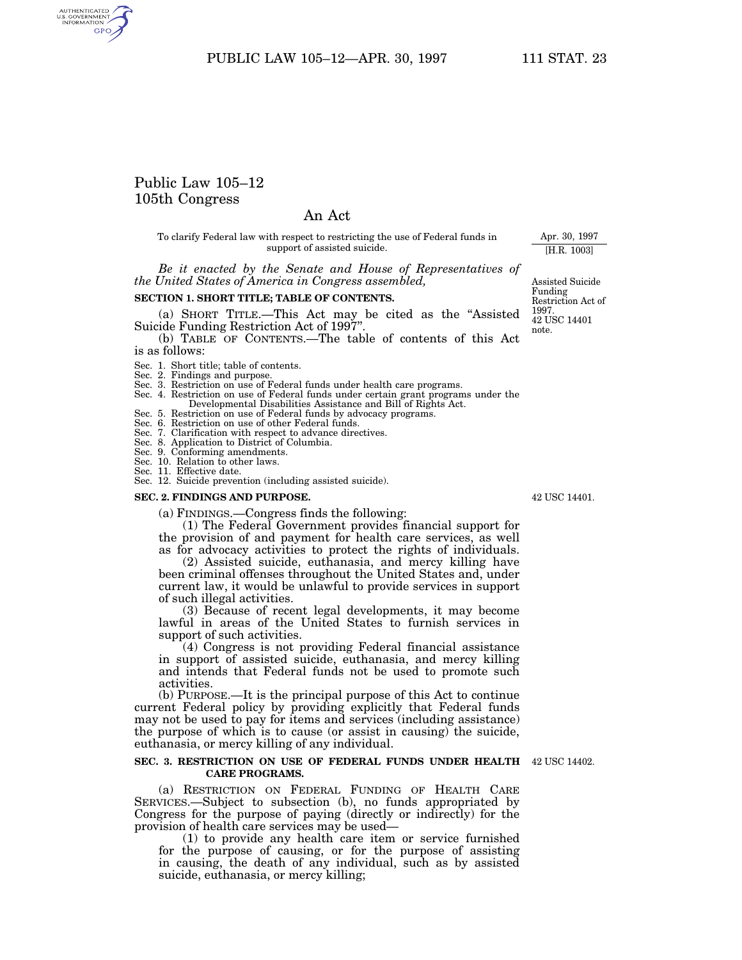# Public Law 105–12 105th Congress

AUTHENTICATED<br>U.S. GOVERNMENT<br>INFORMATION **GPO** 

## An Act

To clarify Federal law with respect to restricting the use of Federal funds in support of assisted suicide.

*Be it enacted by the Senate and House of Representatives of the United States of America in Congress assembled,*

## **SECTION 1. SHORT TITLE; TABLE OF CONTENTS.**

(a) SHORT TITLE.—This Act may be cited as the ''Assisted Suicide Funding Restriction Act of 1997''.

(b) TABLE OF CONTENTS.—The table of contents of this Act is as follows:

- Sec. 1. Short title; table of contents. Sec. 2. Findings and purpose. Sec. 3. Restriction on use of Federal funds under health care programs. Sec. 4. Restriction on use of Federal funds under certain grant programs under the
- Developmental Disabilities Assistance and Bill of Rights Act.
- Sec. 5. Restriction on use of Federal funds by advocacy programs. Sec. 6. Restriction on use of other Federal funds. Sec. 7. Clarification with respect to advance directives.
- 
- Sec. 8. Application to District of Columbia.
- Sec. 9. Conforming amendments.
- 
- 
- Sec. 10. Relation to other laws. Sec. 11. Effective date. Sec. 12. Suicide prevention (including assisted suicide).

#### **SEC. 2. FINDINGS AND PURPOSE.**

(a) FINDINGS.—Congress finds the following:

(1) The Federal Government provides financial support for the provision of and payment for health care services, as well as for advocacy activities to protect the rights of individuals.

(2) Assisted suicide, euthanasia, and mercy killing have been criminal offenses throughout the United States and, under current law, it would be unlawful to provide services in support of such illegal activities.

(3) Because of recent legal developments, it may become lawful in areas of the United States to furnish services in support of such activities.

(4) Congress is not providing Federal financial assistance in support of assisted suicide, euthanasia, and mercy killing and intends that Federal funds not be used to promote such activities.

(b) PURPOSE.—It is the principal purpose of this Act to continue current Federal policy by providing explicitly that Federal funds may not be used to pay for items and services (including assistance) the purpose of which is to cause (or assist in causing) the suicide, euthanasia, or mercy killing of any individual.

#### **SEC. 3. RESTRICTION ON USE OF FEDERAL FUNDS UNDER HEALTH** 42 USC 14402. **CARE PROGRAMS.**

(a) RESTRICTION ON FEDERAL FUNDING OF HEALTH CARE SERVICES.—Subject to subsection (b), no funds appropriated by Congress for the purpose of paying (directly or indirectly) for the provision of health care services may be used—

(1) to provide any health care item or service furnished for the purpose of causing, or for the purpose of assisting in causing, the death of any individual, such as by assisted suicide, euthanasia, or mercy killing;

Assisted Suicide Funding Restriction Act of 1997. 42 USC 14401

Apr. 30, 1997 [H.R. 1003]

note.

42 USC 14401.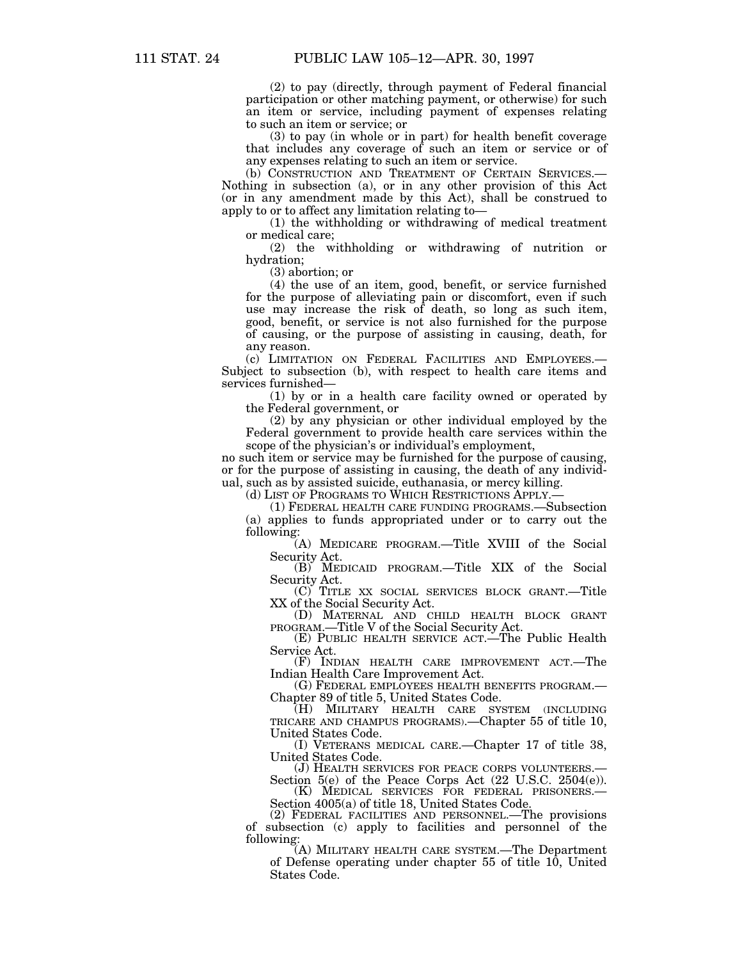(2) to pay (directly, through payment of Federal financial participation or other matching payment, or otherwise) for such an item or service, including payment of expenses relating to such an item or service; or

(3) to pay (in whole or in part) for health benefit coverage that includes any coverage of such an item or service or of any expenses relating to such an item or service.

(b) CONSTRUCTION AND TREATMENT OF CERTAIN SERVICES.— Nothing in subsection (a), or in any other provision of this Act (or in any amendment made by this Act), shall be construed to apply to or to affect any limitation relating to—

(1) the withholding or withdrawing of medical treatment or medical care;

(2) the withholding or withdrawing of nutrition or hydration;

(3) abortion; or

(4) the use of an item, good, benefit, or service furnished for the purpose of alleviating pain or discomfort, even if such use may increase the risk of death, so long as such item, good, benefit, or service is not also furnished for the purpose of causing, or the purpose of assisting in causing, death, for any reason.

(c) LIMITATION ON FEDERAL FACILITIES AND EMPLOYEES.— Subject to subsection (b), with respect to health care items and services furnished—

(1) by or in a health care facility owned or operated by the Federal government, or

(2) by any physician or other individual employed by the Federal government to provide health care services within the scope of the physician's or individual's employment,

no such item or service may be furnished for the purpose of causing, or for the purpose of assisting in causing, the death of any individual, such as by assisted suicide, euthanasia, or mercy killing.

(d) LIST OF PROGRAMS TO WHICH RESTRICTIONS APPLY.—

(1) FEDERAL HEALTH CARE FUNDING PROGRAMS.—Subsection (a) applies to funds appropriated under or to carry out the following:

(A) MEDICARE PROGRAM.—Title XVIII of the Social Security Act. (B) MEDICAID PROGRAM.—Title XIX of the Social

Security Act.<br>
(C) TITLE XX SOCIAL SERVICES BLOCK GRANT.—Title

XX of the Social Security Act.<br>
(D) MATERNAL AND CHILD HEALTH BLOCK GRANT<br>
PROGRAM.—Title V of the Social Security Act.

(E) PUBLIC HEALTH SERVICE ACT. The Public Health Service Act.

(F) INDIAN HEALTH CARE IMPROVEMENT ACT.—The

Indian Health Care Improvement Act. (G) FEDERAL EMPLOYEES HEALTH BENEFITS PROGRAM.—

Chapter 89 of title 5, United States Code. (H) MILITARY HEALTH CARE SYSTEM (INCLUDING TRICARE AND CHAMPUS PROGRAMS).—Chapter 55 of title 10, United States Code.

(I) VETERANS MEDICAL CARE.—Chapter 17 of title 38, United States Code.

(J) HEALTH SERVICES FOR PEACE CORPS VOLUNTEERS.—

Section 5(e) of the Peace Corps Act (22 U.S.C. 2504(e)). (K) MEDICAL SERVICES FOR FEDERAL PRISONERS.— Section 4005(a) of title 18, United States Code.

(2) FEDERAL FACILITIES AND PERSONNEL.—The provisions of subsection (c) apply to facilities and personnel of the following:

(A) MILITARY HEALTH CARE SYSTEM.—The Department of Defense operating under chapter 55 of title 10, United States Code.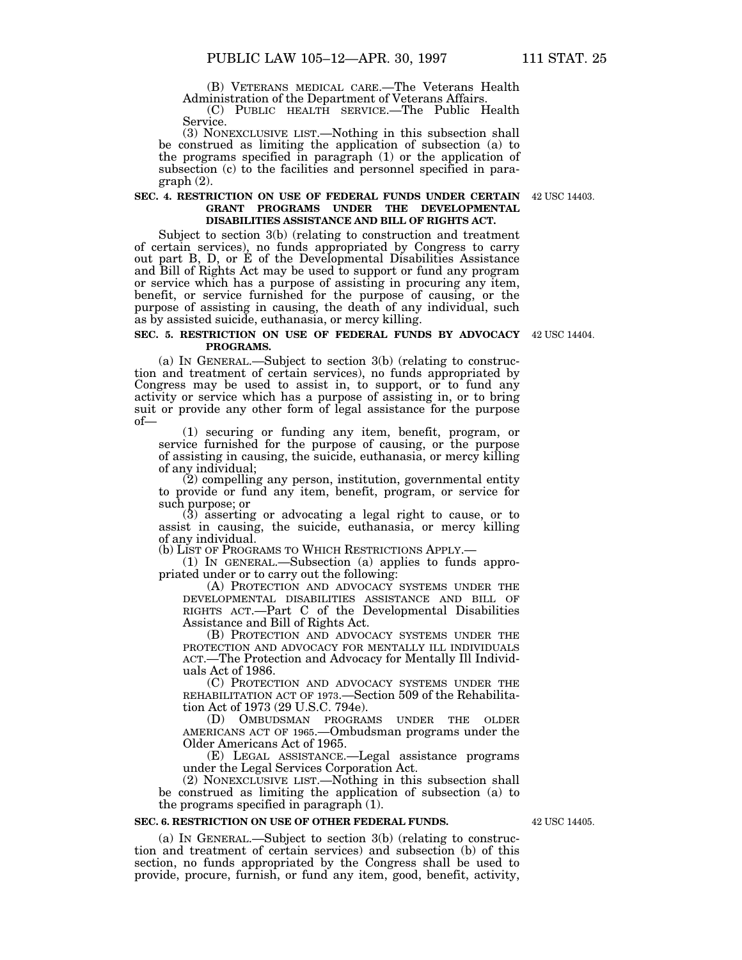(B) VETERANS MEDICAL CARE.—The Veterans Health

(C) PUBLIC HEALTH SERVICE.—The Public Health Service.

(3) NONEXCLUSIVE LIST.—Nothing in this subsection shall be construed as limiting the application of subsection (a) to the programs specified in paragraph (1) or the application of subsection (c) to the facilities and personnel specified in paragraph (2).

### **SEC. 4. RESTRICTION ON USE OF FEDERAL FUNDS UNDER CERTAIN** 42 USC 14403.**GRANT PROGRAMS UNDER THE DEVELOPMENTAL DISABILITIES ASSISTANCE AND BILL OF RIGHTS ACT.**

Subject to section 3(b) (relating to construction and treatment of certain services), no funds appropriated by Congress to carry out part B, D, or E of the Developmental Disabilities Assistance and Bill of Rights Act may be used to support or fund any program or service which has a purpose of assisting in procuring any item, benefit, or service furnished for the purpose of causing, or the purpose of assisting in causing, the death of any individual, such as by assisted suicide, euthanasia, or mercy killing.

### **SEC. 5. RESTRICTION ON USE OF FEDERAL FUNDS BY ADVOCACY** 42 USC 14404. **PROGRAMS.**

(a) IN GENERAL.—Subject to section 3(b) (relating to construction and treatment of certain services), no funds appropriated by Congress may be used to assist in, to support, or to fund any activity or service which has a purpose of assisting in, or to bring suit or provide any other form of legal assistance for the purpose of—

(1) securing or funding any item, benefit, program, or service furnished for the purpose of causing, or the purpose of assisting in causing, the suicide, euthanasia, or mercy killing

of any individual; (2) compelling any person, institution, governmental entity to provide or fund any item, benefit, program, or service for such purpose; or<br>(3) asserting or advocating a legal right to cause, or to

assist in causing, the suicide, euthanasia, or mercy killing of any individual.

(b) LIST OF PROGRAMS TO WHICH RESTRICTIONS APPLY.—

(1) IN GENERAL.—Subsection (a) applies to funds appropriated under or to carry out the following:

(A) PROTECTION AND ADVOCACY SYSTEMS UNDER THE DEVELOPMENTAL DISABILITIES ASSISTANCE AND BILL OF RIGHTS ACT.—Part C of the Developmental Disabilities Assistance and Bill of Rights Act.

(B) PROTECTION AND ADVOCACY SYSTEMS UNDER THE PROTECTION AND ADVOCACY FOR MENTALLY ILL INDIVIDUALS ACT.—The Protection and Advocacy for Mentally Ill Individuals Act of 1986.

(C) PROTECTION AND ADVOCACY SYSTEMS UNDER THE REHABILITATION ACT OF 1973.—Section 509 of the Rehabilitation Act of 1973 (29 U.S.C. 794e).

(D) OMBUDSMAN PROGRAMS UNDER THE OLDER AMERICANS ACT OF 1965.—Ombudsman programs under the Older Americans Act of 1965.

(E) LEGAL ASSISTANCE.—Legal assistance programs under the Legal Services Corporation Act.

(2) NONEXCLUSIVE LIST.—Nothing in this subsection shall be construed as limiting the application of subsection (a) to the programs specified in paragraph (1).

#### **SEC. 6. RESTRICTION ON USE OF OTHER FEDERAL FUNDS.**

(a) IN GENERAL.—Subject to section 3(b) (relating to construction and treatment of certain services) and subsection (b) of this section, no funds appropriated by the Congress shall be used to provide, procure, furnish, or fund any item, good, benefit, activity,

42 USC 14405.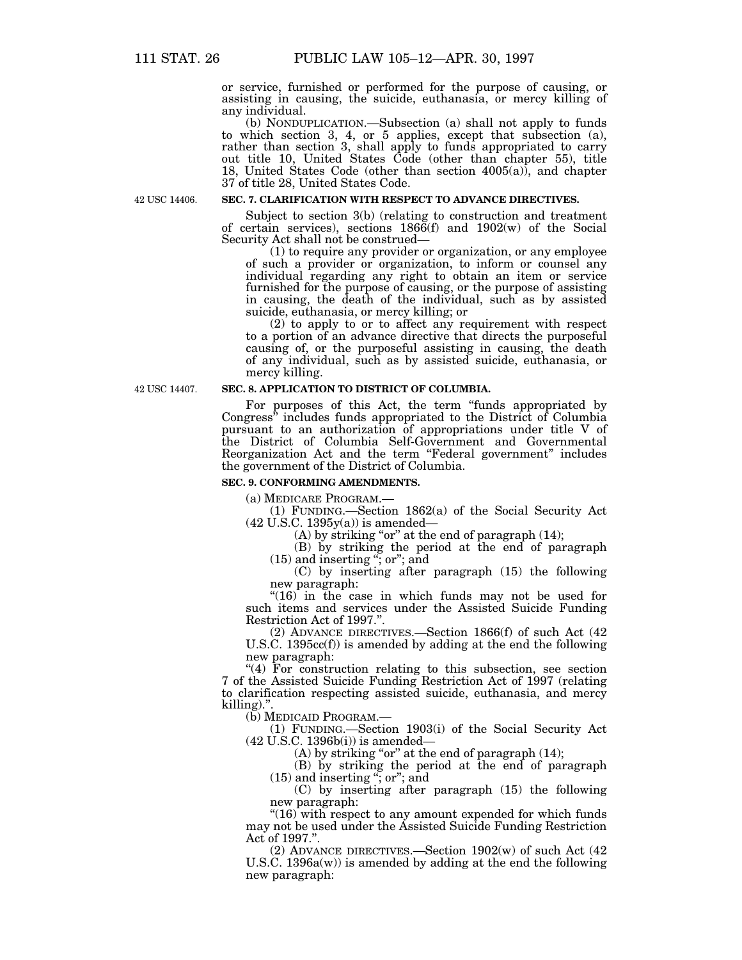or service, furnished or performed for the purpose of causing, or assisting in causing, the suicide, euthanasia, or mercy killing of any individual.

(b) NONDUPLICATION.—Subsection (a) shall not apply to funds to which section 3, 4, or 5 applies, except that subsection (a), rather than section 3, shall apply to funds appropriated to carry out title 10, United States Code (other than chapter 55), title 18, United States Code (other than section 4005(a)), and chapter 37 of title 28, United States Code.

42 USC 14406.

## **SEC. 7. CLARIFICATION WITH RESPECT TO ADVANCE DIRECTIVES.**

Subject to section 3(b) (relating to construction and treatment of certain services), sections  $186\tilde{6}(f)$  and  $1902(w)$  of the Social Security Act shall not be construed—

(1) to require any provider or organization, or any employee of such a provider or organization, to inform or counsel any individual regarding any right to obtain an item or service furnished for the purpose of causing, or the purpose of assisting in causing, the death of the individual, such as by assisted suicide, euthanasia, or mercy killing; or

(2) to apply to or to affect any requirement with respect to a portion of an advance directive that directs the purposeful causing of, or the purposeful assisting in causing, the death of any individual, such as by assisted suicide, euthanasia, or mercy killing.

42 USC 14407.

## **SEC. 8. APPLICATION TO DISTRICT OF COLUMBIA.**

For purposes of this Act, the term "funds appropriated by Congress'' includes funds appropriated to the District of Columbia pursuant to an authorization of appropriations under title V of the District of Columbia Self-Government and Governmental Reorganization Act and the term "Federal government" includes the government of the District of Columbia.

## **SEC. 9. CONFORMING AMENDMENTS.**

(a) MEDICARE PROGRAM.—

(1) FUNDING.—Section 1862(a) of the Social Security Act  $(42$  U.S.C.  $1395y(a)$ ) is amended-

(A) by striking "or" at the end of paragraph (14);

(B) by striking the period at the end of paragraph (15) and inserting ''; or''; and

(C) by inserting after paragraph (15) the following new paragraph:

" $(16)$  in the case in which funds may not be used for such items and services under the Assisted Suicide Funding Restriction Act of 1997.''.

(2) ADVANCE DIRECTIVES.—Section 1866(f) of such Act (42 U.S.C. 1395cc(f)) is amended by adding at the end the following new paragraph:

''(4) For construction relating to this subsection, see section 7 of the Assisted Suicide Funding Restriction Act of 1997 (relating to clarification respecting assisted suicide, euthanasia, and mercy killing).".<br>(b) MEDICAID PROGRAM.—

(b) MEDICAID PROGRAM.— (1) FUNDING.—Section 1903(i) of the Social Security Act (42 U.S.C. 1396b(i)) is amended—

(A) by striking "or" at the end of paragraph  $(14)$ ;

(B) by striking the period at the end of paragraph (15) and inserting ''; or''; and

(C) by inserting after paragraph (15) the following new paragraph:

" $(16)$  with respect to any amount expended for which funds may not be used under the Assisted Suicide Funding Restriction Act of 1997.''.

(2) ADVANCE DIRECTIVES.—Section 1902(w) of such Act (42 U.S.C. 1396a(w)) is amended by adding at the end the following new paragraph: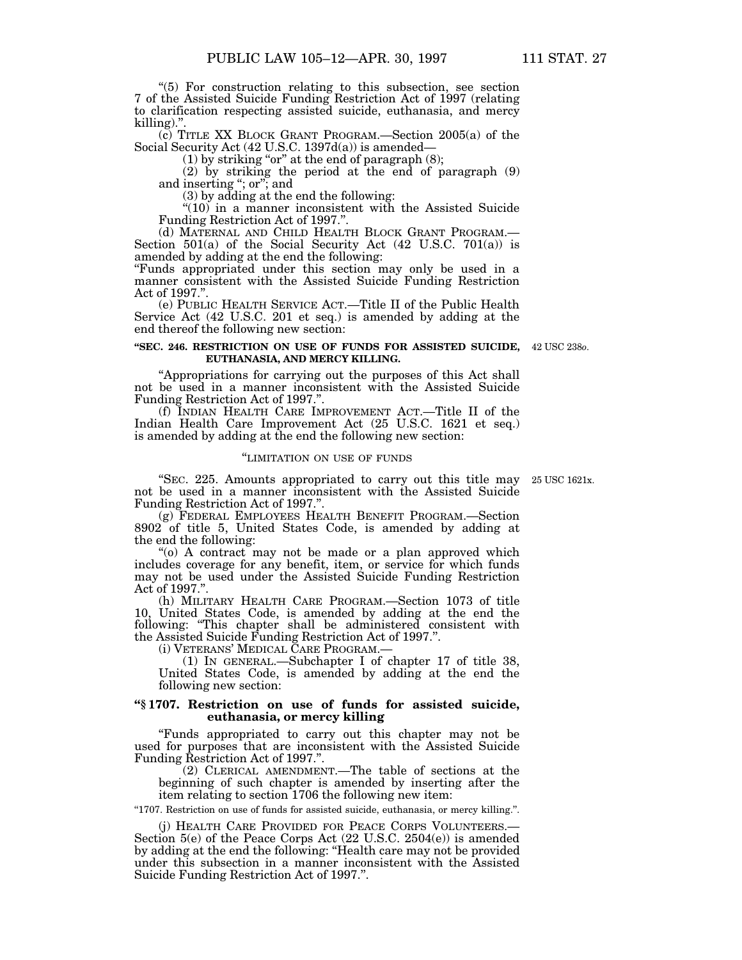''(5) For construction relating to this subsection, see section 7 of the Assisted Suicide Funding Restriction Act of 1997 (relating to clarification respecting assisted suicide, euthanasia, and mercy killing)."

(c) TITLE XX BLOCK GRANT PROGRAM.—Section 2005(a) of the Social Security Act (42 U.S.C. 1397d(a)) is amended—

 $(1)$  by striking "or" at the end of paragraph  $(8)$ ;

(2) by striking the period at the end of paragraph (9) and inserting ''; or''; and

(3) by adding at the end the following:

 $(10)$  in a manner inconsistent with the Assisted Suicide Funding Restriction Act of 1997.''.

(d) MATERNAL AND CHILD HEALTH BLOCK GRANT PROGRAM.— Section 501(a) of the Social Security Act (42 U.S.C. 701(a)) is amended by adding at the end the following:

''Funds appropriated under this section may only be used in a manner consistent with the Assisted Suicide Funding Restriction Act of 1997.''.

(e) PUBLIC HEALTH SERVICE ACT.—Title II of the Public Health Service Act (42 U.S.C. 201 et seq.) is amended by adding at the end thereof the following new section:

#### **''SEC. 246. RESTRICTION ON USE OF FUNDS FOR ASSISTED SUICIDE,** 42 USC 238*o*.**EUTHANASIA, AND MERCY KILLING.**

''Appropriations for carrying out the purposes of this Act shall not be used in a manner inconsistent with the Assisted Suicide Funding Restriction Act of 1997.''.

(f) INDIAN HEALTH CARE IMPROVEMENT ACT.—Title II of the Indian Health Care Improvement Act (25 U.S.C. 1621 et seq.) is amended by adding at the end the following new section:

## ''LIMITATION ON USE OF FUNDS

''SEC. 225. Amounts appropriated to carry out this title may 25 USC 1621x. not be used in a manner inconsistent with the Assisted Suicide Funding Restriction Act of 1997.''.

(g) FEDERAL EMPLOYEES HEALTH BENEFIT PROGRAM.—Section 8902 of title 5, United States Code, is amended by adding at the end the following:

''(o) A contract may not be made or a plan approved which includes coverage for any benefit, item, or service for which funds may not be used under the Assisted Suicide Funding Restriction Act of 1997.''.

(h) MILITARY HEALTH CARE PROGRAM.—Section 1073 of title 10, United States Code, is amended by adding at the end the following: "This chapter shall be administered consistent with the Assisted Suicide Funding Restriction Act of 1997.''.

(1) IN GENERAL.—Subchapter I of chapter 17 of title 38, United States Code, is amended by adding at the end the following new section:

## **''§ 1707. Restriction on use of funds for assisted suicide, euthanasia, or mercy killing**

''Funds appropriated to carry out this chapter may not be used for purposes that are inconsistent with the Assisted Suicide Funding Restriction Act of 1997.''.

(2) CLERICAL AMENDMENT.—The table of sections at the beginning of such chapter is amended by inserting after the item relating to section 1706 the following new item:

''1707. Restriction on use of funds for assisted suicide, euthanasia, or mercy killing.''.

(j) HEALTH CARE PROVIDED FOR PEACE CORPS VOLUNTEERS.— Section 5(e) of the Peace Corps Act (22 U.S.C. 2504(e)) is amended by adding at the end the following: ''Health care may not be provided under this subsection in a manner inconsistent with the Assisted Suicide Funding Restriction Act of 1997.''.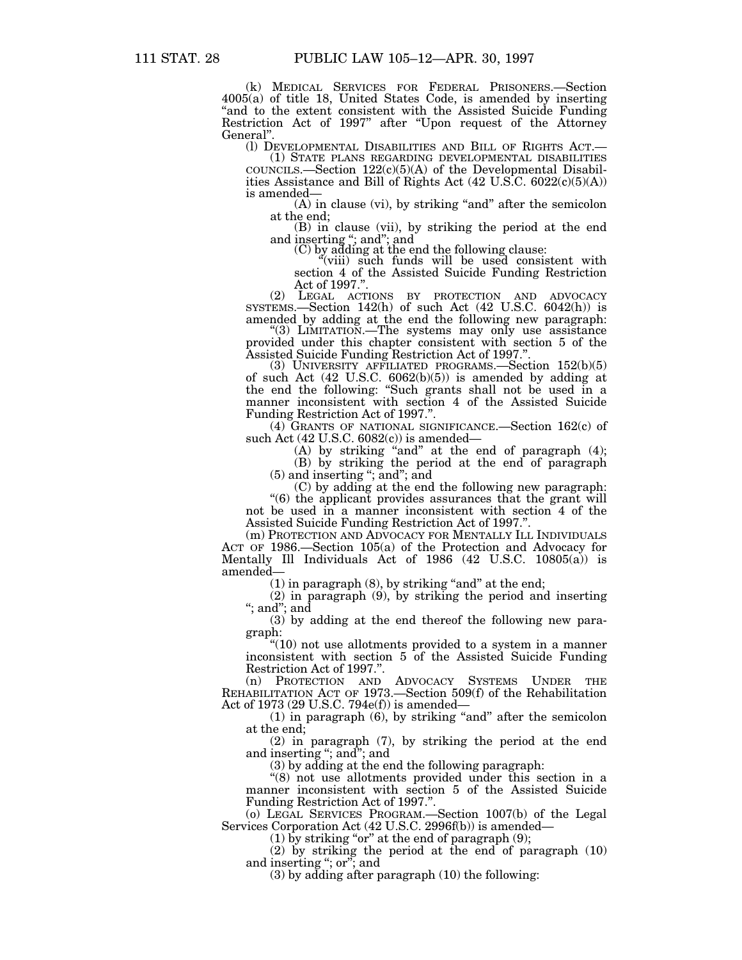(k) MEDICAL SERVICES FOR FEDERAL PRISONERS.—Section 4005(a) of title 18, United States Code, is amended by inserting "and to the extent consistent with the Assisted Suicide Funding" Restriction Act of 1997'' after ''Upon request of the Attorney General''.

(l) DEVELOPMENTAL DISABILITIES AND BILL OF RIGHTS ACT.— (1) STATE PLANS REGARDING DEVELOPMENTAL DISABILITIES

 $C$ OUNCILS.—Section  $122(c)(5)(A)$  of the Developmental Disabilities Assistance and Bill of Rights Act  $(42 \text{ U.S.C. } 6022(c)(5)(A))$ is amended—

(A) in clause (vi), by striking "and" after the semicolon

at the end; (B) in clause (vii), by striking the period at the end and inserting "; and"; and<br>
(C) by adding at the end the following clause:<br>
"(viii) such funds will be used consistent with

section 4 of the Assisted Suicide Funding Restriction Act of 1997.''.

(2) LEGAL ACTIONS BY PROTECTION AND ADVOCACY SYSTEMS.—Section 142(h) of such Act (42 U.S.C. 6042(h)) is

amended by adding at the end the following new paragraph: ''(3) LIMITATION.—The systems may only use assistance provided under this chapter consistent with section 5 of the Assisted Suicide Funding Restriction Act of 1997.".

(3) UNIVERSITY AFFILIATED PROGRAMS.—Section  $152(b)(5)$ of such Act (42 U.S.C. 6062(b)(5)) is amended by adding at the end the following: ''Such grants shall not be used in a manner inconsistent with section 4 of the Assisted Suicide Funding Restriction Act of 1997."

(4) GRANTS OF NATIONAL SIGNIFICANCE.—Section 162(c) of such Act (42 U.S.C. 6082(c)) is amended—

(A) by striking "and" at the end of paragraph  $(4)$ ; (B) by striking the period at the end of paragraph

(5) and inserting ''; and''; and

(C) by adding at the end the following new paragraph:

''(6) the applicant provides assurances that the grant will not be used in a manner inconsistent with section 4 of the Assisted Suicide Funding Restriction Act of 1997.''.

(m) PROTECTION AND ADVOCACY FOR MENTALLY ILL INDIVIDUALS ACT OF 1986.—Section 105(a) of the Protection and Advocacy for Mentally Ill Individuals Act of 1986 (42 U.S.C. 10805(a)) is amended—

 $(1)$  in paragraph  $(8)$ , by striking "and" at the end;

(2) in paragraph (9), by striking the period and inserting ''; and''; and

(3) by adding at the end thereof the following new paragraph:

''(10) not use allotments provided to a system in a manner inconsistent with section 5 of the Assisted Suicide Funding Restriction Act of 1997.''.

(n) PROTECTION AND ADVOCACY SYSTEMS UNDER THE REHABILITATION ACT OF 1973.—Section 509(f) of the Rehabilitation Act of 1973 (29 U.S.C. 794e(f)) is amended—

 $(1)$  in paragraph  $(6)$ , by striking "and" after the semicolon at the end;

(2) in paragraph (7), by striking the period at the end and inserting ''; and''; and

(3) by adding at the end the following paragraph:

"(8) not use allotments provided under this section in a manner inconsistent with section 5 of the Assisted Suicide Funding Restriction Act of 1997.''.

(o) LEGAL SERVICES PROGRAM.—Section 1007(b) of the Legal Services Corporation Act (42 U.S.C. 2996f(b)) is amended—

(1) by striking "or" at the end of paragraph  $(9)$ ;

(2) by striking the period at the end of paragraph (10) and inserting "; or"; and

(3) by adding after paragraph (10) the following: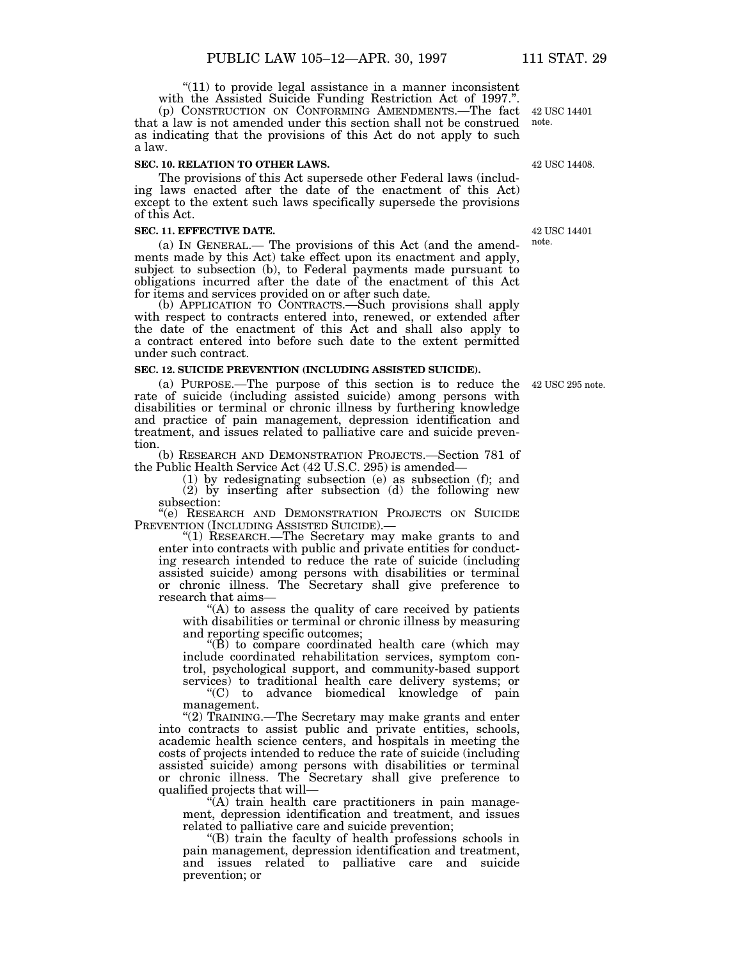" $(11)$  to provide legal assistance in a manner inconsistent with the Assisted Suicide Funding Restriction Act of 1997.''.

(p) CONSTRUCTION ON CONFORMING AMENDMENTS.—The fact that a law is not amended under this section shall not be construed as indicating that the provisions of this Act do not apply to such a law.

#### **SEC. 10. RELATION TO OTHER LAWS.**

The provisions of this Act supersede other Federal laws (including laws enacted after the date of the enactment of this Act) except to the extent such laws specifically supersede the provisions of this Act.

### **SEC. 11. EFFECTIVE DATE.**

(a) IN GENERAL.— The provisions of this Act (and the amendments made by this Act) take effect upon its enactment and apply, subject to subsection (b), to Federal payments made pursuant to obligations incurred after the date of the enactment of this Act for items and services provided on or after such date.

(b) APPLICATION TO CONTRACTS.—Such provisions shall apply with respect to contracts entered into, renewed, or extended after the date of the enactment of this Act and shall also apply to a contract entered into before such date to the extent permitted under such contract.

## **SEC. 12. SUICIDE PREVENTION (INCLUDING ASSISTED SUICIDE).**

(a) PURPOSE.—The purpose of this section is to reduce the 42 USC 295 note. rate of suicide (including assisted suicide) among persons with disabilities or terminal or chronic illness by furthering knowledge and practice of pain management, depression identification and treatment, and issues related to palliative care and suicide prevention.

(b) RESEARCH AND DEMONSTRATION PROJECTS.—Section 781 of the Public Health Service Act (42 U.S.C. 295) is amended—

(1) by redesignating subsection (e) as subsection (f); and (2) by inserting after subsection (d) the following new

subsection:

''(e) RESEARCH AND DEMONSTRATION PROJECTS ON SUICIDE PREVENTION (INCLUDING ASSISTED SUICIDE).

''(1) RESEARCH.—The Secretary may make grants to and enter into contracts with public and private entities for conducting research intended to reduce the rate of suicide (including assisted suicide) among persons with disabilities or terminal or chronic illness. The Secretary shall give preference to research that aims—

"(A) to assess the quality of care received by patients" with disabilities or terminal or chronic illness by measuring and reporting specific outcomes;  $"$ (B) to compare coordinated health care (which may

include coordinated rehabilitation services, symptom control, psychological support, and community-based support services) to traditional health care delivery systems; or

''(C) to advance biomedical knowledge of pain management.

''(2) TRAINING.—The Secretary may make grants and enter into contracts to assist public and private entities, schools, academic health science centers, and hospitals in meeting the costs of projects intended to reduce the rate of suicide (including assisted suicide) among persons with disabilities or terminal or chronic illness. The Secretary shall give preference to qualified projects that will—

''(A) train health care practitioners in pain management, depression identification and treatment, and issues related to palliative care and suicide prevention;

''(B) train the faculty of health professions schools in pain management, depression identification and treatment, and issues related to palliative care and suicide prevention; or

42 USC 14401 note.

42 USC 14408.

42 USC 14401 note.